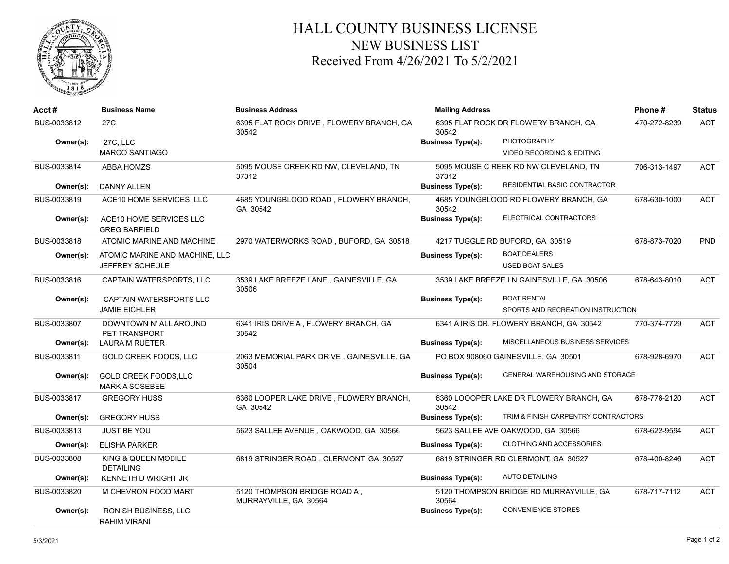

## HALL COUNTY BUSINESS LICENSE NEW BUSINESS LIST Received From 4/26/2021 To 5/2/2021

| Acct #      | <b>Business Name</b>                            | <b>Business Address</b>                               | <b>Mailing Address</b>   |                                           | Phone#       | <b>Status</b> |
|-------------|-------------------------------------------------|-------------------------------------------------------|--------------------------|-------------------------------------------|--------------|---------------|
| BUS-0033812 | 27 <sub>C</sub>                                 | 6395 FLAT ROCK DRIVE, FLOWERY BRANCH, GA<br>30542     | 30542                    | 6395 FLAT ROCK DR FLOWERY BRANCH, GA      | 470-272-8239 | <b>ACT</b>    |
| Owner(s):   | 27C, LLC                                        |                                                       | <b>Business Type(s):</b> | <b>PHOTOGRAPHY</b>                        |              |               |
|             | <b>MARCO SANTIAGO</b>                           |                                                       |                          | <b>VIDEO RECORDING &amp; EDITING</b>      |              |               |
| BUS-0033814 | <b>ABBA HOMZS</b>                               | 5095 MOUSE CREEK RD NW, CLEVELAND, TN<br>37312        | 37312                    | 5095 MOUSE C REEK RD NW CLEVELAND, TN     | 706-313-1497 | <b>ACT</b>    |
| Owner(s):   | <b>DANNY ALLEN</b>                              |                                                       | <b>Business Type(s):</b> | RESIDENTIAL BASIC CONTRACTOR              |              |               |
| BUS-0033819 | ACE10 HOME SERVICES, LLC                        | 4685 YOUNGBLOOD ROAD, FLOWERY BRANCH,<br>GA 30542     | 30542                    | 4685 YOUNGBLOOD RD FLOWERY BRANCH, GA     | 678-630-1000 | <b>ACT</b>    |
| Owner(s):   | ACE10 HOME SERVICES LLC<br><b>GREG BARFIELD</b> |                                                       | <b>Business Type(s):</b> | ELECTRICAL CONTRACTORS                    |              |               |
| BUS-0033818 | ATOMIC MARINE AND MACHINE                       | 2970 WATERWORKS ROAD, BUFORD, GA 30518                |                          | 4217 TUGGLE RD BUFORD, GA 30519           | 678-873-7020 | PND           |
| Owner(s):   | ATOMIC MARINE AND MACHINE. LLC                  |                                                       | <b>Business Type(s):</b> | <b>BOAT DEALERS</b>                       |              |               |
|             | JEFFREY SCHEULE                                 |                                                       |                          | <b>USED BOAT SALES</b>                    |              |               |
| BUS-0033816 | CAPTAIN WATERSPORTS, LLC                        | 3539 LAKE BREEZE LANE, GAINESVILLE, GA<br>30506       |                          | 3539 LAKE BREEZE LN GAINESVILLE, GA 30506 | 678-643-8010 | <b>ACT</b>    |
| Owner(s):   | CAPTAIN WATERSPORTS LLC                         |                                                       | <b>Business Type(s):</b> | <b>BOAT RENTAL</b>                        |              |               |
|             | <b>JAMIE EICHLER</b>                            |                                                       |                          | SPORTS AND RECREATION INSTRUCTION         |              |               |
| BUS-0033807 | DOWNTOWN N' ALL AROUND<br>PET TRANSPORT         | 6341 IRIS DRIVE A, FLOWERY BRANCH, GA<br>30542        |                          | 6341 A IRIS DR. FLOWERY BRANCH, GA 30542  | 770-374-7729 | <b>ACT</b>    |
| Owner(s):   | LAURA M RUETER                                  |                                                       | <b>Business Type(s):</b> | MISCELLANEOUS BUSINESS SERVICES           |              |               |
| BUS-0033811 | <b>GOLD CREEK FOODS, LLC</b>                    | 2063 MEMORIAL PARK DRIVE, GAINESVILLE, GA<br>30504    |                          | PO BOX 908060 GAINESVILLE, GA 30501       | 678-928-6970 | <b>ACT</b>    |
| Owner(s):   | GOLD CREEK FOODS, LLC<br><b>MARK A SOSEBEE</b>  |                                                       | <b>Business Type(s):</b> | GENERAL WAREHOUSING AND STORAGE           |              |               |
| BUS-0033817 | <b>GREGORY HUSS</b>                             | 6360 LOOPER LAKE DRIVE, FLOWERY BRANCH,<br>GA 30542   | 30542                    | 6360 LOOOPER LAKE DR FLOWERY BRANCH, GA   | 678-776-2120 | <b>ACT</b>    |
| Owner(s):   | <b>GREGORY HUSS</b>                             |                                                       | <b>Business Type(s):</b> | TRIM & FINISH CARPENTRY CONTRACTORS       |              |               |
| BUS-0033813 | <b>JUST BE YOU</b>                              | 5623 SALLEE AVENUE, OAKWOOD, GA 30566                 |                          | 5623 SALLEE AVE OAKWOOD, GA 30566         | 678-622-9594 | <b>ACT</b>    |
| Owner(s):   | <b>ELISHA PARKER</b>                            |                                                       | <b>Business Type(s):</b> | CLOTHING AND ACCESSORIES                  |              |               |
| BUS-0033808 | KING & QUEEN MOBILE<br><b>DETAILING</b>         | 6819 STRINGER ROAD, CLERMONT, GA 30527                |                          | 6819 STRINGER RD CLERMONT, GA 30527       | 678-400-8246 | <b>ACT</b>    |
| Owner(s):   | <b>KENNETH D WRIGHT JR</b>                      |                                                       | <b>Business Type(s):</b> | <b>AUTO DETAILING</b>                     |              |               |
| BUS-0033820 | M CHEVRON FOOD MART                             | 5120 THOMPSON BRIDGE ROAD A,<br>MURRAYVILLE, GA 30564 | 30564                    | 5120 THOMPSON BRIDGE RD MURRAYVILLE, GA   | 678-717-7112 | <b>ACT</b>    |
| Owner(s):   | <b>RONISH BUSINESS, LLC</b><br>RAHIM VIRANI     |                                                       | <b>Business Type(s):</b> | <b>CONVENIENCE STORES</b>                 |              |               |